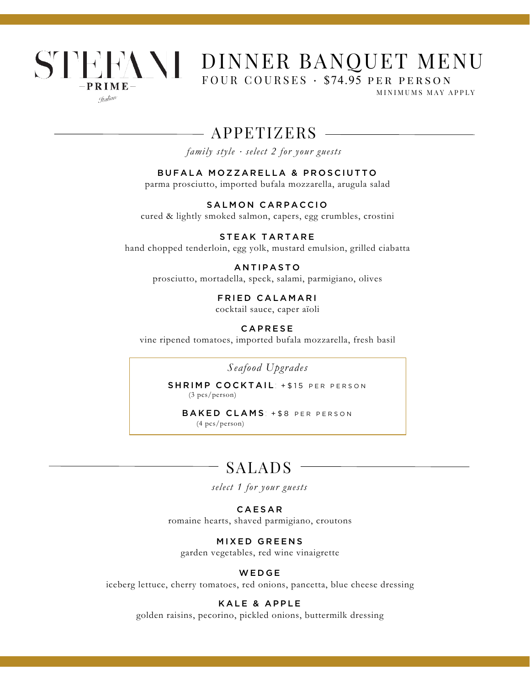## STEFANI DINNER BANQUET MENU FOUR COURSES · \$74.95 per person $-$  P R I M E  $-$ MINIMUMS MAY APPLY

Gralian

APPETIZERS

*family style* <sup>⋅</sup> *select 2 for your guests*

#### BUFALA MOZZARELLA & PROSCIUTTO

parma prosciutto, imported bufala mozzarella, arugula salad

SALMON CARPACCIO cured & lightly smoked salmon, capers, egg crumbles, crostini

STEAK TARTARE hand chopped tenderloin, egg yolk, mustard emulsion, grilled ciabatta

**ANTIPASTO** prosciutto, mortadella, speck, salami, parmigiano, olives

FRIED CALAMARI

cocktail sauce, caper aïoli

**CAPRESE** 

vine ripened tomatoes, imported bufala mozzarella, fresh basil

*Seafood Upgrades*

SHRIMP COCKTAIL: +\$15 PER PERSON (3 pcs/person)

BAKED CLAMS: +\$8 PER PERSON (4 pcs/person)

## SALADS

*select 1 for your guests*

### CAESAR

romaine hearts, shaved parmigiano, croutons

#### MIXED GREENS

garden vegetables, red wine vinaigrette

#### **WEDGE**

iceberg lettuce, cherry tomatoes, red onions, pancetta, blue cheese dressing

#### KALE & APPLE

golden raisins, pecorino, pickled onions, buttermilk dressing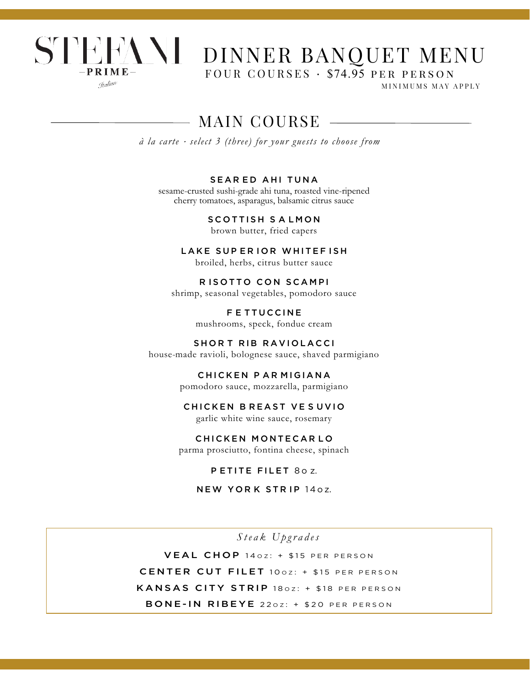

# STEENNI DINNER BANQUET MENU

FOUR COURSES · \$74.95 per person

MINIMUMS MAY APPLY

# MAIN COURSE

*à la carte* <sup>⋅</sup> *select 3 (three) for your guests to choose from*

#### SEAR ED AHI TUNA

sesame-crusted sushi-grade ahi tuna, roasted vine-ripened cherry tomatoes, asparagus, balsamic citrus sauce

> SCOTTISH SALMON brown butter, fried capers

LAKE SUP ERIOR WHITEF ISH broiled, herbs, citrus butter sauce

R ISOTTO CON SCAMPI shrimp, seasonal vegetables, pomodoro sauce

> F E TTUC C INE mushrooms, speck, fondue cream

SHORT RIB RAVIOLACCI

house-made ravioli, bolognese sauce, shaved parmigiano

CHICKEN PAR MIGIANA pomodoro sauce, mozzarella, parmigiano

#### CHICKEN BREAST VESUVIO

garlic white wine sauce, rosemary

#### CHICKEN MONTECAR LO

parma prosciutto, fontina cheese, spinach

P ETITE FILET 80 z.

NEW YORK STRIP 140Z.

*S t eak Upgrades* VEAL CHOP 140Z: + \$15 PER PERSON CENTER CUT FILET 100Z: + \$15 PER PERSON KANSAS CITY STRIP 180Z: + \$18 PER PERSON BONE-IN RIBEYE 220Z: + \$20 PER PERSON